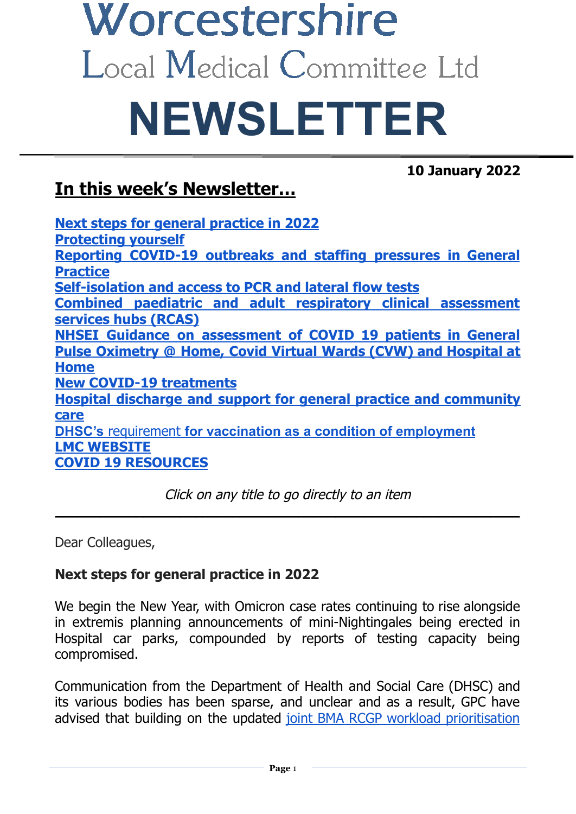# Worcestershire Local Medical Committee Ltd **NEWSLETTER**

**10 January 2022**

# **In this week's Newsletter…**

**Next steps for general [practice](#page-0-0) in 2022 [Protecting](#page-1-0) yourself Reporting [COVID-19](#page-2-0) outbreaks and staffing pressures in General [Practice](#page-2-0) [Self-isolation](#page-2-1) and access to PCR and lateral flow tests Combined paediatric and adult respiratory clinical [assessment](#page-3-0) [services](#page-3-0) hubs (RCAS) NHSEI Guidance on [assessment](#page-3-1) of COVID 19 patients in General Pulse [Oximetry](#page-3-2) @ Home, Covid Virtual Wards (CVW) and Hospital at [Home](#page-3-2) New COVID-19 [treatments](#page-4-0) Hospital discharge and support for general practice and [community](#page-4-1) [care](#page-4-1) DHSC's** requirement **for vaccination as a condition of [employment](#page-4-2) LMC [WEBSITE](#page-4-3) COVID 19 [RESOURCES](#page-4-4)**

Click on any title to go directly to an item \_\_\_\_\_\_\_\_\_\_\_\_\_\_\_\_\_\_\_\_\_\_\_\_\_\_\_\_\_\_\_\_\_\_\_\_\_\_\_\_\_\_\_\_\_\_\_\_\_\_\_\_\_\_\_\_\_\_\_\_\_\_\_

Dear Colleagues,

### <span id="page-0-0"></span>**Next steps for general practice in 2022**

We begin the New Year, with Omicron case rates continuing to rise alongside in extremis planning announcements of mini-Nightingales being erected in Hospital car parks, compounded by reports of testing capacity being compromised.

Communication from the Department of Health and Social Care (DHSC) and its various bodies has been sparse, and unclear and as a result, GPC have advised that building on the updated joint BMA RCGP workload [prioritisation](https://i.emlfiles4.com/cmpdoc/3/7/7/5/2/files/867353_workload-guidance.pdf?utm_source=The%20British%20Medical%20Association&utm_medium=email&utm_campaign=12884317_GP%20ENEWSLETTER%2020122021&dm_t=0,0,0,0,0)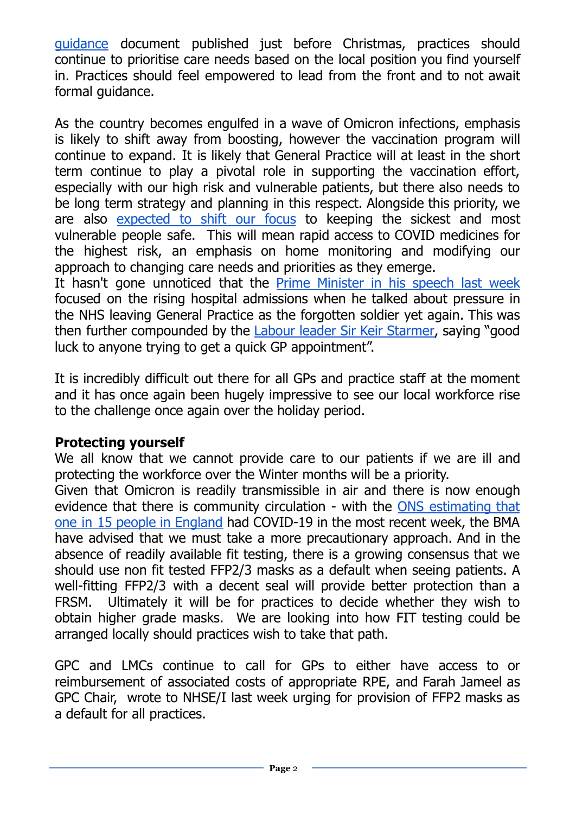[guidance](https://i.emlfiles4.com/cmpdoc/3/7/7/5/2/files/867353_workload-guidance.pdf?utm_source=The%20British%20Medical%20Association&utm_medium=email&utm_campaign=12884317_GP%20ENEWSLETTER%2020122021&dm_t=0,0,0,0,0) document published just before Christmas, practices should continue to prioritise care needs based on the local position you find yourself in. Practices should feel empowered to lead from the front and to not await formal guidance.

As the country becomes engulfed in a wave of Omicron infections, emphasis is likely to shift away from boosting, however the vaccination program will continue to expand. It is likely that General Practice will at least in the short term continue to play a pivotal role in supporting the vaccination effort, especially with our high risk and vulnerable patients, but there also needs to be long term strategy and planning in this respect. Alongside this priority, we are also [expected](https://www.england.nhs.uk/coronavirus/publication/information-on-the-governments-additional-covid-19-advice-for-people-whose-immune-system-means-they-are-at-higher-risk/) to shift our focus to keeping the sickest and most vulnerable people safe. This will mean rapid access to COVID medicines for the highest risk, an emphasis on home monitoring and modifying our approach to changing care needs and priorities as they emerge.

It hasn't gone unnoticed that the Prime [Minister](https://www.gov.uk/government/speeches/pm-opening-statement-at-covid-19-press-conference-4-january-2022) in his speech last week focused on the rising hospital admissions when he talked about pressure in the NHS leaving General Practice as the forgotten soldier yet again. This was then further compounded by the Labour leader Sir Keir [Starmer,](https://labour.org.uk/press/keir-starmers-speech-setting-out-labours-contract-with-the-british-people/) saying "good luck to anyone trying to get a quick GP appointment".

It is incredibly difficult out there for all GPs and practice staff at the moment and it has once again been hugely impressive to see our local workforce rise to the challenge once again over the holiday period.

#### <span id="page-1-0"></span>**Protecting yourself**

We all know that we cannot provide care to our patients if we are ill and protecting the workforce over the Winter months will be a priority.

Given that Omicron is readily transmissible in air and there is now enough evidence that there is community circulation - with the ONS [estimating](https://www.ons.gov.uk/peoplepopulationandcommunity/healthandsocialcare/conditionsanddiseases/bulletins/coronaviruscovid19infectionsurveypilot/5january2022) that one in 15 people in [England](https://www.ons.gov.uk/peoplepopulationandcommunity/healthandsocialcare/conditionsanddiseases/bulletins/coronaviruscovid19infectionsurveypilot/5january2022) had COVID-19 in the most recent week, the BMA have advised that we must take a more precautionary approach. And in the absence of readily available fit testing, there is a growing consensus that we should use non fit tested FFP2/3 masks as a default when seeing patients. A well-fitting FFP2/3 with a decent seal will provide better protection than a FRSM. Ultimately it will be for practices to decide whether they wish to obtain higher grade masks. We are looking into how FIT testing could be arranged locally should practices wish to take that path.

GPC and LMCs continue to call for GPs to either have access to or reimbursement of associated costs of appropriate RPE, and Farah Jameel as GPC Chair, wrote to NHSE/I last week urging for provision of FFP2 masks as a default for all practices.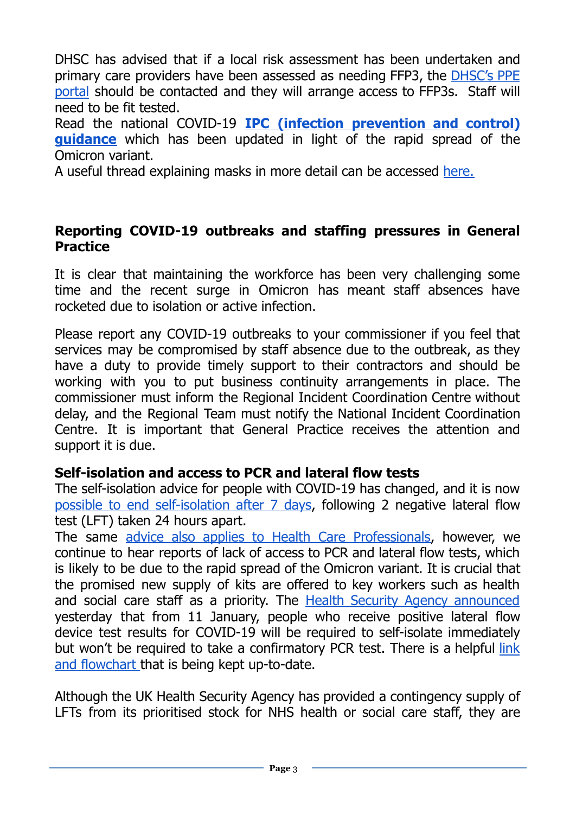DHSC has advised that if a local risk assessment has been undertaken and primary care providers have been assessed as needing FFP3, the [DHSC's](https://www.gov.uk/guidance/ppe-portal-how-to-order-covid-19-personal-protective-equipment) PPE [portal](https://www.gov.uk/guidance/ppe-portal-how-to-order-covid-19-personal-protective-equipment) should be contacted and they will arrange access to FFP3s. Staff will need to be fit tested.

Read the national COVID-19 **IPC (infection [prevention](https://bma-mail.org.uk/t/JVX-7O5LP-JCJOU4-4NW9FX-1/c.aspx) and control) [guidance](https://bma-mail.org.uk/t/JVX-7O5LP-JCJOU4-4NW9FX-1/c.aspx)** which has been updated in light of the rapid spread of the Omicron variant.

A useful thread explaining masks in more detail can be accessed [here.](https://threadreaderapp.com/thread/1476176934568611843.html)

#### <span id="page-2-0"></span>**Reporting COVID-19 outbreaks and staffing pressures in General Practice**

It is clear that maintaining the workforce has been very challenging some time and the recent surge in Omicron has meant staff absences have rocketed due to isolation or active infection.

Please report any COVID-19 outbreaks to your commissioner if you feel that services may be compromised by staff absence due to the outbreak, as they have a duty to provide timely support to their contractors and should be working with you to put business continuity arrangements in place. The commissioner must inform the Regional Incident Coordination Centre without delay, and the Regional Team must notify the National Incident Coordination Centre. It is important that General Practice receives the attention and support it is due.

#### <span id="page-2-1"></span>**Self-isolation and access to PCR and lateral flow tests**

The self-isolation advice for people with COVID-19 has changed, and it is now possible to end [self-isolation](https://www.gov.uk/government/publications/covid-19-stay-at-home-guidance/stay-at-home-guidance-for-households-with-possible-coronavirus-covid-19-infection) after 7 days, following 2 negative lateral flow test (LFT) taken 24 hours apart.

The same advice also applies to Health Care [Professionals,](https://www.gov.uk/government/publications/covid-19-management-of-exposed-healthcare-workers-and-patients-in-hospital-settings/covid-19-management-of-exposed-healthcare-workers-and-patients-in-hospital-settings) however, we continue to hear reports of lack of access to PCR and lateral flow tests, which is likely to be due to the rapid spread of the Omicron variant. It is crucial that the promised new supply of kits are offered to key workers such as health and social care staff as a priority. The Health Security Agency [announced](https://www.gov.uk/government/news/confirmatory-pcr-tests-to-be-temporarily-suspended-for-positive-lateral-flow-test-results) yesterday that from 11 January, people who receive positive lateral flow device test results for COVID-19 will be required to self-isolate immediately but won't be required to take a confirmatory PCR test. There is a helpful [link](https://docs.google.com/presentation/d/1C1WboYk3Zxm3is5-5E6Dpe5OQ2L_prYw/edit#slide=id.g109a0a8f2b8_0_12) and [flowchart](https://docs.google.com/presentation/d/1C1WboYk3Zxm3is5-5E6Dpe5OQ2L_prYw/edit#slide=id.g109a0a8f2b8_0_12) that is being kept up-to-date.

Although the UK Health Security Agency has provided a contingency supply of LFTs from its prioritised stock for NHS health or social care staff, they are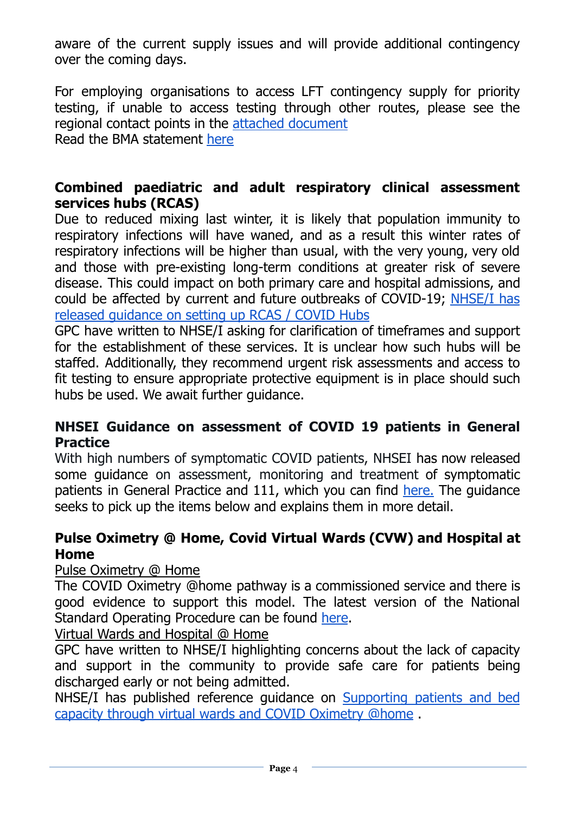aware of the current supply issues and will provide additional contingency over the coming days.

For employing organisations to access LFT contingency supply for priority testing, if unable to access testing through other routes, please see the regional contact points in the attached [document](https://view.officeapps.live.com/op/view.aspx?src=https%3A%2F%2Fi.emlfiles4.com%2Fcmpdoc%2F3%2F7%2F7%2F5%2F2%2Ffiles%2F867922_regional-contact-points-to-access-lfd-contingency-supply.docx%3Futm_source%3DThe%2520British%2520Medical%2520Association%26utm_medium%3Demail%26utm_campaign%3D12905509_GP%2520ENEWSLETTER%252006012022%26dm_t%3D0%2C0%2C0%2C0%2C0&wdOrigin=BROWSELINK) Read the BMA statement [here](https://www.bma.org.uk/bma-media-centre/priority-of-lateral-flow-tests-for-healthcare-staff-isn-t-working-says-bma-and-nhs-services-under-severe-threat-because-staff-cannot-access-testing)

#### <span id="page-3-0"></span>**Combined paediatric and adult respiratory clinical assessment services hubs (RCAS)**

Due to reduced mixing last winter, it is likely that population immunity to respiratory infections will have waned, and as a result this winter rates of respiratory infections will be higher than usual, with the very young, very old and those with pre-existing long-term conditions at greater risk of severe disease. This could impact on both primary care and hospital admissions, and could be affected by current and future outbreaks of COVID-19; [NHSE/I](https://www.england.nhs.uk/publication/combined-adult-and-paediatric-respiratory-clinical-assessment-service-rcas-hubs-for-acute-respiratory-infection/) has released [guidance](https://www.england.nhs.uk/publication/combined-adult-and-paediatric-respiratory-clinical-assessment-service-rcas-hubs-for-acute-respiratory-infection/) on setting up RCAS / COVID Hubs

GPC have written to NHSE/I asking for clarification of timeframes and support for the establishment of these services. It is unclear how such hubs will be staffed. Additionally, they recommend urgent risk assessments and access to fit testing to ensure appropriate protective equipment is in place should such hubs be used. We await further guidance.

#### <span id="page-3-1"></span>**NHSEI Guidance on assessment of COVID 19 patients in General Practice**

With high numbers of symptomatic COVID patients, NHSEI has now released some guidance on assessment, monitoring and treatment of symptomatic patients in General Practice and 111, which you can find [here.](https://www.england.nhs.uk/coronavirus/wp-content/uploads/sites/52/2020/03/C1514-assessing-monitoring-and-treating-covid-in-general-practice.pdf) The guidance seeks to pick up the items below and explains them in more detail.

#### <span id="page-3-2"></span>**Pulse Oximetry @ Home, Covid Virtual Wards (CVW) and Hospital at Home**

Pulse Oximetry @ Home

The COVID Oximetry @home pathway is a commissioned service and there is good evidence to support this model. The latest version of the National Standard Operating Procedure can be found [here](https://www.england.nhs.uk/coronavirus/publication/novel-coronavirus-covid-19-standard-operating-procedure-covid-oximetry-home/).

Virtual Wards and Hospital @ Home

GPC have written to NHSE/I highlighting concerns about the lack of capacity and support in the community to provide safe care for patients being discharged early or not being admitted.

NHSE/I has published reference guidance on [Supporting](https://healthcareleadersupdate.cmail20.com/t/d-l-ahjkytk-illyuyurku-b/) patients and bed capacity through virtual wards and COVID [Oximetry](https://healthcareleadersupdate.cmail20.com/t/d-l-ahjkytk-illyuyurku-b/) @home .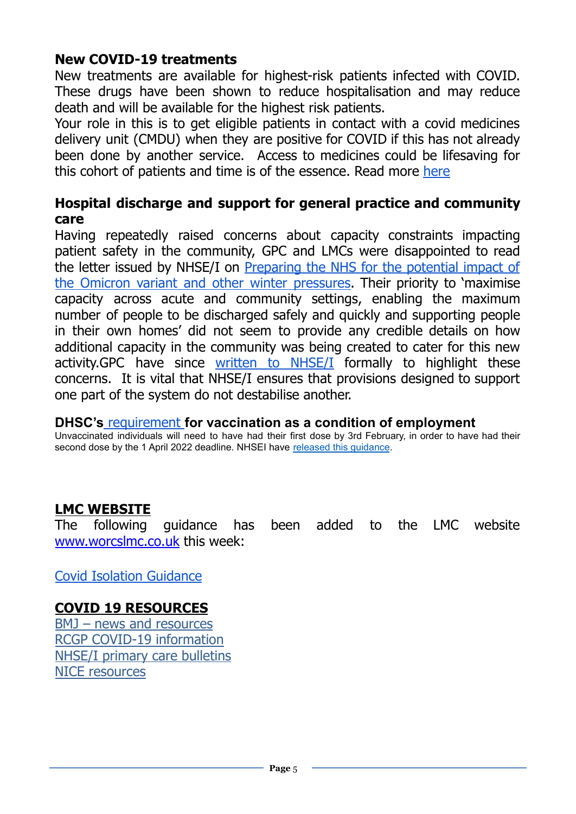#### <span id="page-4-0"></span>**New COVID-19 treatments**

New treatments are available for highest-risk patients infected with COVID. These drugs have been shown to reduce hospitalisation and may reduce death and will be available for the highest risk patients.

Your role in this is to get eligible patients in contact with a covid medicines delivery unit (CMDU) when they are positive for COVID if this has not already been done by another service. Access to medicines could be lifesaving for this cohort of patients and time is of the essence. Read more [here](https://www.england.nhs.uk/coronavirus/publication/contacting-your-patients-about-new-covid-19-treatments/)

#### <span id="page-4-1"></span>**Hospital discharge and support for general practice and community care**

Having repeatedly raised concerns about capacity constraints impacting patient safety in the community, GPC and LMCs were disappointed to read the letter issued by NHSE/I on [Preparing](https://www.england.nhs.uk/coronavirus/publication/preparing-the-nhs-for-the-potential-impact-of-the-omicron-variant-and-other-winter-pressures/) the NHS for the potential impact of the Omicron variant and other winter [pressures.](https://www.england.nhs.uk/coronavirus/publication/preparing-the-nhs-for-the-potential-impact-of-the-omicron-variant-and-other-winter-pressures/) Their priority to 'maximise capacity across acute and community settings, enabling the maximum number of people to be discharged safely and quickly and supporting people in their own homes' did not seem to provide any credible details on how additional capacity in the community was being created to cater for this new activity.GPC have since written to [NHSE/I](https://i.emlfiles4.com/cmpdoc/3/7/7/5/2/files/867893_bma-gpc-to-prof-steve-powis-24december21.pdf?utm_source=The%20British%20Medical%20Association&utm_medium=email&utm_campaign=12905509_GP%20ENEWSLETTER%2006012022&dm_t=0,0,0,0,0) formally to highlight these concerns. It is vital that NHSE/I ensures that provisions designed to support one part of the system do not destabilise another.

#### <span id="page-4-2"></span>**DHSC's** [requirement](https://www.gov.uk/government/consultations/making-vaccination-a-condition-of-deployment-in-the-health-and-wider-social-care-sector/making-vaccination-a-condition-of-deployment-in-the-health-and-wider-social-care-sector) **for vaccination as a condition of employment**

Unvaccinated individuals will need to have had their first dose by 3rd February, in order to have had their second dose by the 1 April 2022 deadline. NHSEI have released this [guidance](https://healthcareleadersupdate.cmail19.com/t/d-l-ahdtydk-illyuyurku-x/).

#### <span id="page-4-3"></span>**LMC WEBSITE**

The following guidance has been added to the LMC website [www.worcslmc.co.uk](http://www.worcslmc.co.uk) this week:

Covid Isolation [Guidance](https://docs.google.com/presentation/u/0/d/1C1WboYk3Zxm3is5-5E6Dpe5OQ2L_prYw/edit)

### <span id="page-4-4"></span>**COVID 19 RESOURCES**

BMJ – news and [resources](https://www.bmj.com/coronavirus) RCGP COVID-19 [information](https://www.rcgp.org.uk/policy/rcgp-policy-areas/covid-19-coronavirus.aspx) NHSE/I primary care [bulletins](https://www.england.nhs.uk/coronavirus/primary-care/other-resources/primary-care-bulletin/) NICE [resources](https://nhsconfed.us16.list-manage.com/track/click?u=feeeed3bba7c179fd3a7ef554&id=0017c62a07&e=d3deb28f87)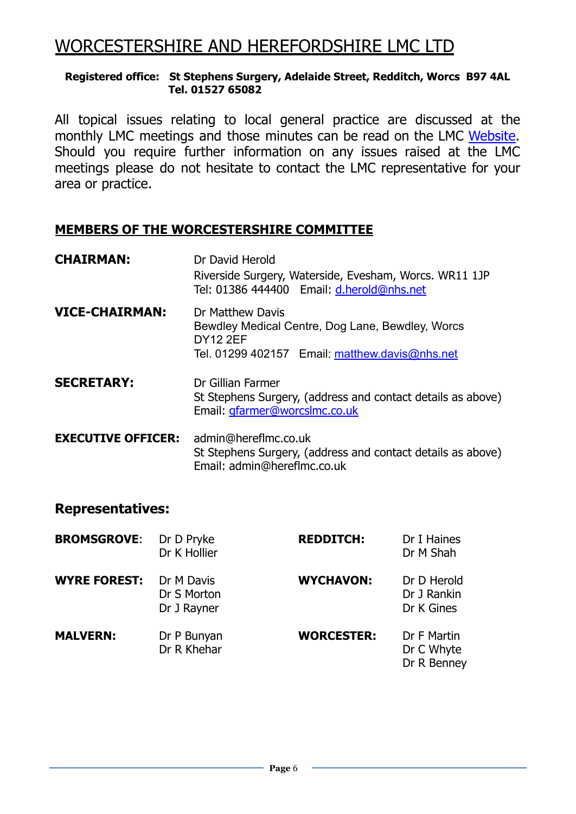## WORCESTERSHIRE AND HEREFORDSHIRE LMC LTD

#### **Registered office: St Stephens Surgery, Adelaide Street, Redditch, Worcs B97 4AL Tel. 01527 65082**

All topical issues relating to local general practice are discussed at the monthly LMC meetings and those minutes can be read on the LMC [Website.](https://www.worcslmc.co.uk/pages/lmc-meetings) Should you require further information on any issues raised at the LMC meetings please do not hesitate to contact the LMC representative for your area or practice.

#### **MEMBERS OF THE WORCESTERSHIRE COMMITTEE**

| <b>CHAIRMAN:</b>          | Dr David Herold<br>Riverside Surgery, Waterside, Evesham, Worcs. WR11 1JP<br>Tel: 01386 444400 Email: d.herold@nhs.net                    |  |
|---------------------------|-------------------------------------------------------------------------------------------------------------------------------------------|--|
| <b>VICE-CHAIRMAN:</b>     | Dr Matthew Davis<br>Bewdley Medical Centre, Dog Lane, Bewdley, Worcs<br><b>DY12 2EF</b><br>Tel. 01299 402157 Email: matthew.davis@nhs.net |  |
| <b>SECRETARY:</b>         | Dr Gillian Farmer<br>St Stephens Surgery, (address and contact details as above)<br>Email: gfarmer@worcslmc.co.uk                         |  |
| <b>EXECUTIVE OFFICER:</b> | admin@hereflmc.co.uk<br>St Stephens Surgery, (address and contact details as above)<br>Email: admin@hereflmc.co.uk                        |  |

#### **Representatives:**

| <b>BROMSGROVE:</b>  | Dr D Pryke<br>Dr K Hollier               | <b>REDDITCH:</b>  | Dr I Haines<br>Dr M Shah                 |
|---------------------|------------------------------------------|-------------------|------------------------------------------|
| <b>WYRE FOREST:</b> | Dr M Davis<br>Dr S Morton<br>Dr J Rayner | <b>WYCHAVON:</b>  | Dr D Herold<br>Dr J Rankin<br>Dr K Gines |
| <b>MALVERN:</b>     | Dr P Bunyan<br>Dr R Khehar               | <b>WORCESTER:</b> | Dr F Martin<br>Dr C Whyte<br>Dr R Benney |